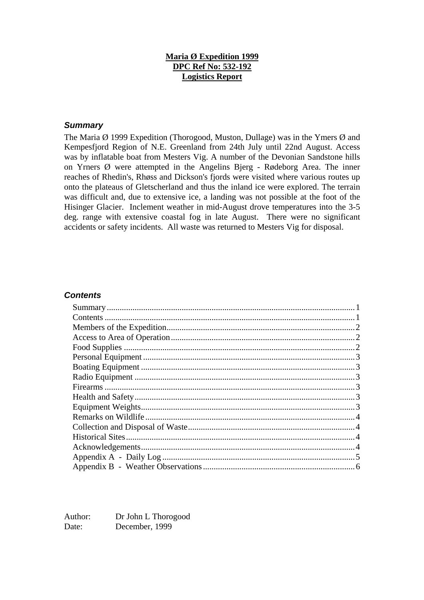#### **Maria Ø Expedition 1999 DPC Ref No: 532-192 Logistics Report**

#### *Summary*

The Maria  $\emptyset$  1999 Expedition (Thorogood, Muston, Dullage) was in the Ymers  $\emptyset$  and Kempesfjord Region of N.E. Greenland from 24th July until 22nd August. Access was by inflatable boat from Mesters Vig. A number of the Devonian Sandstone hills on Yrners Ø were attempted in the Angelins Bjerg - Rødeborg Area. The inner reaches of Rhedin's, Rhøss and Dickson's fjords were visited where various routes up onto the plateaus of Gletscherland and thus the inland ice were explored. The terrain was difficult and, due to extensive ice, a landing was not possible at the foot of the Hisinger Glacier. Inclement weather in mid-August drove temperatures into the 3-5 deg. range with extensive coastal fog in late August. There were no significant accidents or safety incidents. All waste was returned to Mesters Vig for disposal.

#### *Contents*

Author: Dr John L Thorogood Date: December, 1999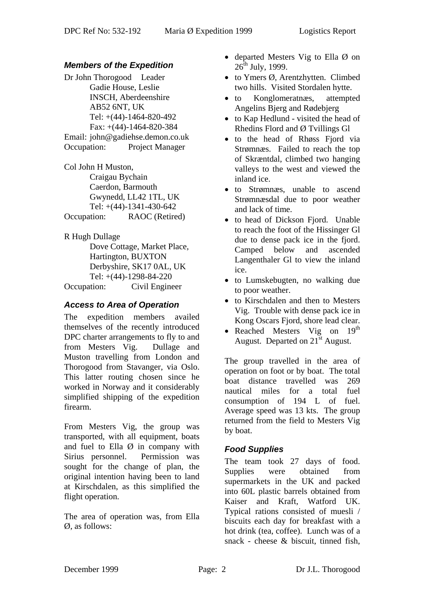### *Members of the Expedition*

Dr John Thorogood Leader Gadie House, Leslie INSCH, Aberdeenshire AB52 6NT, UK Tel: +(44)-1464-820-492 Fax: +(44)-1464-820-384 Email: john@gadiehse.demon.co.uk Occupation: Project Manager

Col John H Muston, Craigau Bychain Caerdon, Barmouth Gwynedd, LL42 1TL, UK Tel: +(44)-1341-430-642 Occupation: RAOC (Retired)

R Hugh Dullage Dove Cottage, Market Place, Hartington, BUXTON Derbyshire, SK17 0AL, UK Tel: +(44)-1298-84-220 Occupation: Civil Engineer

#### *Access to Area of Operation*

The expedition members availed themselves of the recently introduced DPC charter arrangements to fly to and from Mesters Vig. Dullage and Muston travelling from London and Thorogood from Stavanger, via Oslo. This latter routing chosen since he worked in Norway and it considerably simplified shipping of the expedition firearm.

From Mesters Vig, the group was transported, with all equipment, boats and fuel to Ella  $\emptyset$  in company with Sirius personnel. Permission was sought for the change of plan, the original intention having been to land at Kirschdalen, as this simplified the flight operation.

The area of operation was, from Ella Ø, as follows:

- departed Mesters Vig to Ella  $\emptyset$  on  $26^{th}$  July, 1999.
- to Ymers Ø, Arentzhytten. Climbed two hills. Visited Stordalen hytte.
- to Konglomeratnæs, attempted Angelins Bjerg and Rødebjerg
- to Kap Hedlund visited the head of Rhedins Flord and Ø Tvillings Gl
- to the head of Rhøss Fjord via Strømnæs. Failed to reach the top of Skræntdal, climbed two hanging valleys to the west and viewed the inland ice.
- to Strømnæs, unable to ascend Strømnæsdal due to poor weather and lack of time.
- to head of Dickson Fjord. Unable to reach the foot of the Hissinger Gl due to dense pack ice in the fjord. Camped below and ascended Langenthaler Gl to view the inland ice.
- to Lumskebugten, no walking due to poor weather.
- to Kirschdalen and then to Mesters Vig. Trouble with dense pack ice in Kong Oscars Fjord, shore lead clear.
- Reached Mesters Vig on  $19<sup>th</sup>$ August. Departed on  $21<sup>st</sup>$  August.

The group travelled in the area of operation on foot or by boat. The total boat distance travelled was 269 nautical miles for a total fuel consumption of 194 L of fuel. Average speed was 13 kts. The group returned from the field to Mesters Vig by boat.

# *Food Supplies*

The team took 27 days of food. Supplies were obtained from supermarkets in the UK and packed into 60L plastic barrels obtained from Kaiser and Kraft, Watford UK. Typical rations consisted of muesli / biscuits each day for breakfast with a hot drink (tea, coffee). Lunch was of a snack - cheese & biscuit, tinned fish,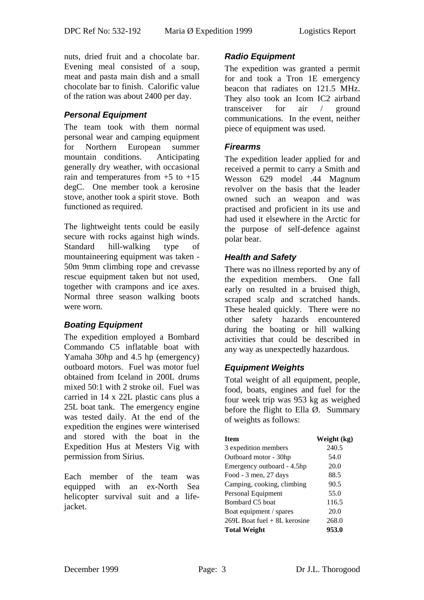nuts, dried fruit and a chocolate bar. Evening meal consisted of a soup, meat and pasta main dish and a small chocolate bar to finish. Calorific value of the ration was about 2400 per day.

#### *Personal Equipment*

The team took with them normal personal wear and camping equipment for Northern European summer mountain conditions. Anticipating generally dry weather, with occasional rain and temperatures from  $+5$  to  $+15$ degC. One member took a kerosine stove, another took a spirit stove. Both functioned as required.

The lightweight tents could be easily secure with rocks against high winds. Standard hill-walking type of mountaineering equipment was taken - 50m 9mm climbing rope and crevasse rescue equipment taken but not used, together with crampons and ice axes. Normal three season walking boots were worn.

#### *Boating Equipment*

The expedition employed a Bombard Commando C5 inflatable boat with Yamaha 30hp and 4.5 hp (emergency) outboard motors. Fuel was motor fuel obtained from Iceland in 200L drums mixed 50:1 with 2 stroke oil. Fuel was carried in 14 x 22L plastic cans plus a 25L boat tank. The emergency engine was tested daily. At the end of the expedition the engines were winterised and stored with the boat in the Expedition Hus at Mesters Vig with permission from Sirius.

Each member of the team was equipped with an ex-North Sea helicopter survival suit and a lifejacket.

### *Radio Equipment*

The expedition was granted a permit for and took a Tron 1E emergency beacon that radiates on 121.5 MHz. They also took an Icom IC2 airband transceiver for air / ground communications. In the event, neither piece of equipment was used.

#### *Firearms*

The expedition leader applied for and received a permit to carry a Smith and Wesson 629 model .44 Magnum revolver on the basis that the leader owned such an weapon and was practised and proficient in its use and had used it elsewhere in the Arctic for the purpose of self-defence against polar bear.

#### *Health and Safety*

There was no illness reported by any of the expedition members. One fall early on resulted in a bruised thigh, scraped scalp and scratched hands. These healed quickly. There were no other safety hazards encountered during the boating or hill walking activities that could be described in any way as unexpectedly hazardous.

#### *Equipment Weights*

Total weight of all equipment, people, food, boats, engines and fuel for the four week trip was 953 kg as weighed before the flight to Ella  $\varnothing$ . Summary of weights as follows:

| <b>Item</b>                  | Weight (kg) |
|------------------------------|-------------|
| 3 expedition members         | 240.5       |
| Outboard motor - 30hp        | 54.0        |
| Emergency outboard - 4.5hp   | 20.0        |
| Food - 3 men, 27 days        | 88.5        |
| Camping, cooking, climbing   | 90.5        |
| Personal Equipment           | 55.0        |
| Bombard C5 boat              | 116.5       |
| Boat equipment / spares      | 20.0        |
| 269L Boat fuel + 8L kerosine | 268.0       |
| <b>Total Weight</b>          | 953.0       |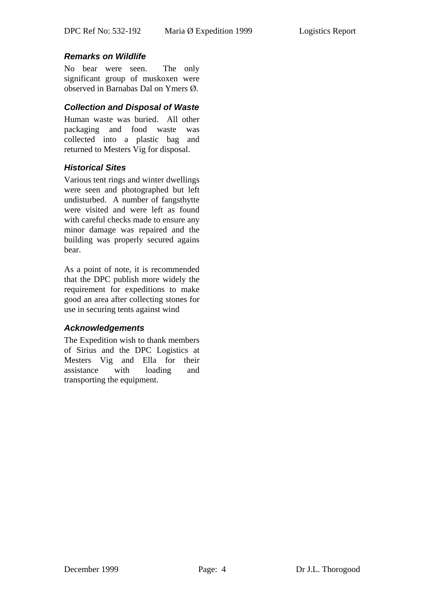#### *Remarks on Wildlife*

No bear were seen. The only significant group of muskoxen were observed in Barnabas Dal on Ymers Ø.

#### *Collection and Disposal of Waste*

Human waste was buried. All other packaging and food waste was collected into a plastic bag and returned to Mesters Vig for disposal.

## *Historical Sites*

Various tent rings and winter dwellings were seen and photographed but left undisturbed. A number of fangsthytte were visited and were left as found with careful checks made to ensure any minor damage was repaired and the building was properly secured agains bear.

As a point of note, it is recommended that the DPC publish more widely the requirement for expeditions to make good an area after collecting stones for use in securing tents against wind

#### *Acknowledgements*

The Expedition wish to thank members of Sirius and the DPC Logistics at Mesters Vig and Ella for their assistance with loading and transporting the equipment.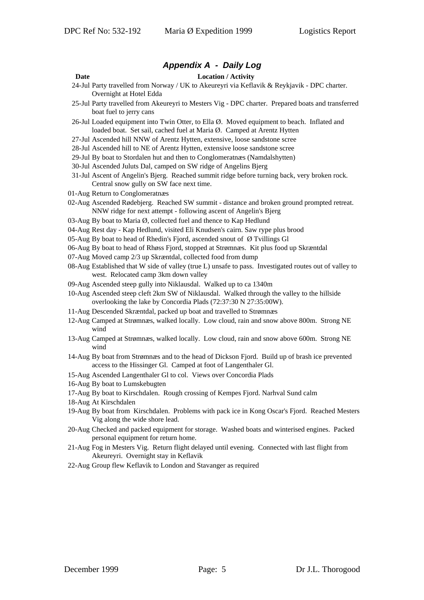#### *Appendix A - Daily Log*

#### **Date Location / Activity**

- 
- 24-Jul Party travelled from Norway / UK to Akeureyri via Keflavik & Reykjavik DPC charter. Overnight at Hotel Edda
- 25-Jul Party travelled from Akeureyri to Mesters Vig DPC charter. Prepared boats and transferred boat fuel to jerry cans
- 26-Jul Loaded equipment into Twin Otter, to Ella Ø. Moved equipment to beach. Inflated and loaded boat. Set sail, cached fuel at Maria Ø. Camped at Arentz Hytten
- 27-Jul Ascended hill NNW of Arentz Hytten, extensive, loose sandstone scree
- 28-Jul Ascended hill to NE of Arentz Hytten, extensive loose sandstone scree
- 29-Jul By boat to Stordalen hut and then to Conglomeratnæs (Namdalshytten)
- 30-Jul Ascended Juluts Dal, camped on SW ridge of Angelins Bjerg
- 31-Jul Ascent of Angelin's Bjerg. Reached summit ridge before turning back, very broken rock. Central snow gully on SW face next time.
- 01-Aug Return to Conglomeratnæs
- 02-Aug Ascended Rødebjerg. Reached SW summit distance and broken ground prompted retreat. NNW ridge for next attempt - following ascent of Angelin's Bjerg
- 03-Aug By boat to Maria Ø, collected fuel and thence to Kap Hedlund
- 04-Aug Rest day Kap Hedlund, visited Eli Knudsen's cairn. Saw rype plus brood
- 05-Aug By boat to head of Rhedin's Fjord, ascended snout of  $\varnothing$  Tvillings Gl
- 06-Aug By boat to head of Rhøss Fjord, stopped at Strømnæs. Kit plus food up Skræntdal
- 07-Aug Moved camp 2/3 up Skræntdal, collected food from dump
- 08-Aug Established that W side of valley (true L) unsafe to pass. Investigated routes out of valley to west. Relocated camp 3km down valley
- 09-Aug Ascended steep gully into Niklausdal. Walked up to ca 1340m
- 10-Aug Ascended steep cleft 2km SW of Niklausdal. Walked through the valley to the hillside overlooking the lake by Concordia Plads (72:37:30 N 27:35:00W).
- 11-Aug Descended Skræntdal, packed up boat and travelled to Strømnæs
- 12-Aug Camped at Strømnæs, walked locally. Low cloud, rain and snow above 800m. Strong NE wind
- 13-Aug Camped at Strømnæs, walked locally. Low cloud, rain and snow above 600m. Strong NE wind
- 14-Aug By boat from Strømnæs and to the head of Dickson Fjord. Build up of brash ice prevented access to the Hissinger Gl. Camped at foot of Langenthaler Gl.
- 15-Aug Ascended Langenthaler Gl to col. Views over Concordia Plads
- 16-Aug By boat to Lumskebugten
- 17-Aug By boat to Kirschdalen. Rough crossing of Kempes Fjord. Narhval Sund calm
- 18-Aug At Kirschdalen
- 19-Aug By boat from Kirschdalen. Problems with pack ice in Kong Oscar's Fjord. Reached Mesters Vig along the wide shore lead.
- 20-Aug Checked and packed equipment for storage. Washed boats and winterised engines. Packed personal equipment for return home.
- 21-Aug Fog in Mesters Vig. Return flight delayed until evening. Connected with last flight from Akeureyri. Overnight stay in Keflavik
- 22-Aug Group flew Keflavik to London and Stavanger as required